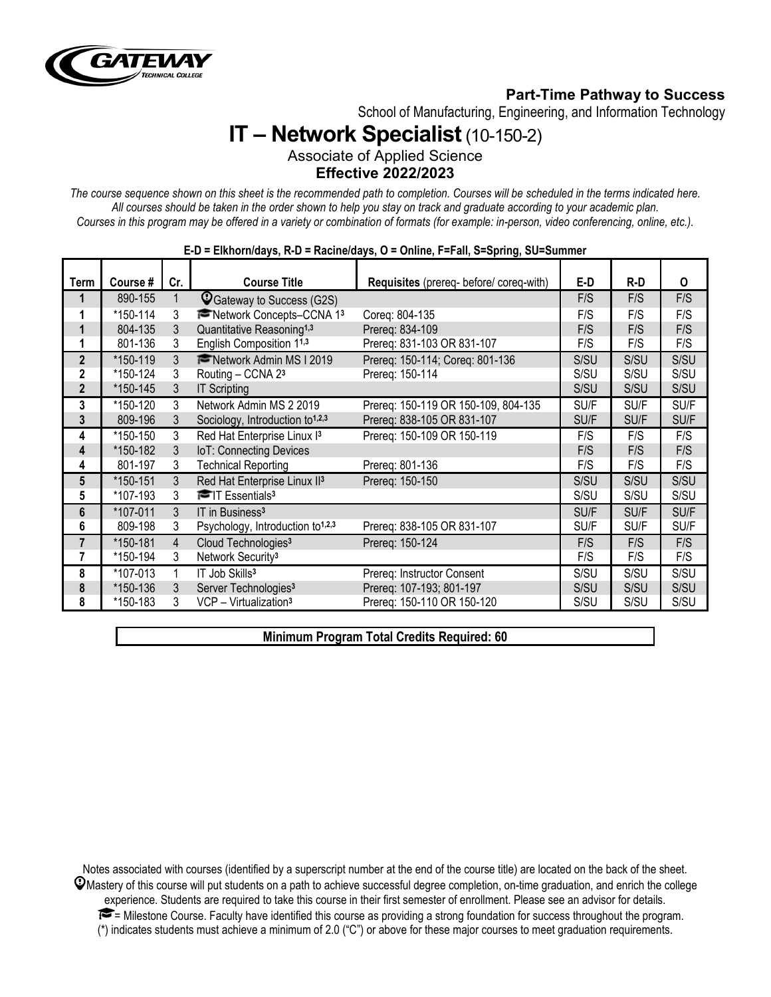

# **Part-Time Pathway to Success**

School of Manufacturing, Engineering, and Information Technology

# **IT – Network Specialist**(10-150-2)

Associate of Applied Science **Effective 2022/2023**

*The course sequence shown on this sheet is the recommended path to completion. Courses will be scheduled in the terms indicated here. All courses should be taken in the order shown to help you stay on track and graduate according to your academic plan. Courses in this program may be offered in a variety or combination of formats (for example: in-person, video conferencing, online, etc.).*

| Term                    | Course # | Cr. | <b>Course Title</b>                          | Requisites (prereq- before/ coreq-with) | E-D  | R-D  | 0    |
|-------------------------|----------|-----|----------------------------------------------|-----------------------------------------|------|------|------|
| 1                       | 890-155  |     | C Gateway to Success (G2S)                   |                                         | F/S  | F/S  | F/S  |
| 1                       | *150-114 | 3   | Network Concepts-CCNA 13                     | Coreg: 804-135                          | F/S  | F/S  | F/S  |
| 1                       | 804-135  | 3   | Quantitative Reasoning <sup>1,3</sup>        | Prereq: 834-109                         | F/S  | F/S  | F/S  |
| 1                       | 801-136  | 3   | English Composition 11,3                     | Prereg: 831-103 OR 831-107              | F/S  | F/S  | F/S  |
| $\mathbf{2}$            | *150-119 | 3   | Network Admin MS I 2019                      | Prereg: 150-114; Coreg: 801-136         | S/SU | S/SU | S/SU |
| 2                       | *150-124 | 3   | Routing - CCNA 23                            | Prereq: 150-114                         | S/SU | S/SU | S/SU |
| $\overline{2}$          | *150-145 | 3   | <b>IT Scripting</b>                          |                                         | S/SU | S/SU | S/SU |
| 3                       | *150-120 | 3   | Network Admin MS 2 2019                      | Prereq: 150-119 OR 150-109, 804-135     | SU/F | SU/F | SU/F |
| 3                       | 809-196  | 3   | Sociology, Introduction to <sup>1,2,3</sup>  | Prereg: 838-105 OR 831-107              | SU/F | SU/F | SU/F |
| 4                       | *150-150 | 3   | Red Hat Enterprise Linux I3                  | Prereq: 150-109 OR 150-119              | F/S  | F/S  | F/S  |
| 4                       | *150-182 | 3   | IoT: Connecting Devices                      |                                         | F/S  | F/S  | F/S  |
| 4                       | 801-197  | 3   | <b>Technical Reporting</b>                   | Prereq: 801-136                         | F/S  | F/S  | F/S  |
| $5\phantom{.0}$         | *150-151 | 3   | Red Hat Enterprise Linux II <sup>3</sup>     | Prereq: 150-150                         | S/SU | S/SU | S/SU |
| 5                       | *107-193 | 3   | $\blacksquare$ T Essentials <sup>3</sup>     |                                         | S/SU | S/SU | S/SU |
| 6                       | *107-011 | 3   | IT in Business <sup>3</sup>                  |                                         | SU/F | SU/F | SU/F |
| 6                       | 809-198  | 3   | Psychology, Introduction to <sup>1,2,3</sup> | Prereq: 838-105 OR 831-107              | SU/F | SU/F | SU/F |
| $\overline{\mathbf{r}}$ | *150-181 | 4   | Cloud Technologies <sup>3</sup>              | Prereq: 150-124                         | F/S  | F/S  | F/S  |
| 7                       | *150-194 | 3   | Network Security <sup>3</sup>                |                                         | F/S  | F/S  | F/S  |
| 8                       | *107-013 |     | IT Job Skills <sup>3</sup>                   | Prereq: Instructor Consent              | S/SU | S/SU | S/SU |
| 8                       | *150-136 | 3   | Server Technologies <sup>3</sup>             | Prereq: 107-193; 801-197                | S/SU | S/SU | S/SU |
| 8                       | *150-183 | 3   | VCP - Virtualization <sup>3</sup>            | Prereg: 150-110 OR 150-120              | S/SU | S/SU | S/SU |

#### **E-D = Elkhorn/days, R-D = Racine/days, O = Online, F=Fall, S=Spring, SU=Summer**

#### **Minimum Program Total Credits Required: 60**

Notes associated with courses (identified by a superscript number at the end of the course title) are located on the back of the sheet.  $\mathcal Q$ Mastery of this course will put students on a path to achieve successful degree completion, on-time graduation, and enrich the college experience. Students are required to take this course in their first semester of enrollment. Please see an advisor for details.  $\blacktriangleright$  = Milestone Course. Faculty have identified this course as providing a strong foundation for success throughout the program. (\*) indicates students must achieve a minimum of 2.0 ("C") or above for these major courses to meet graduation requirements.